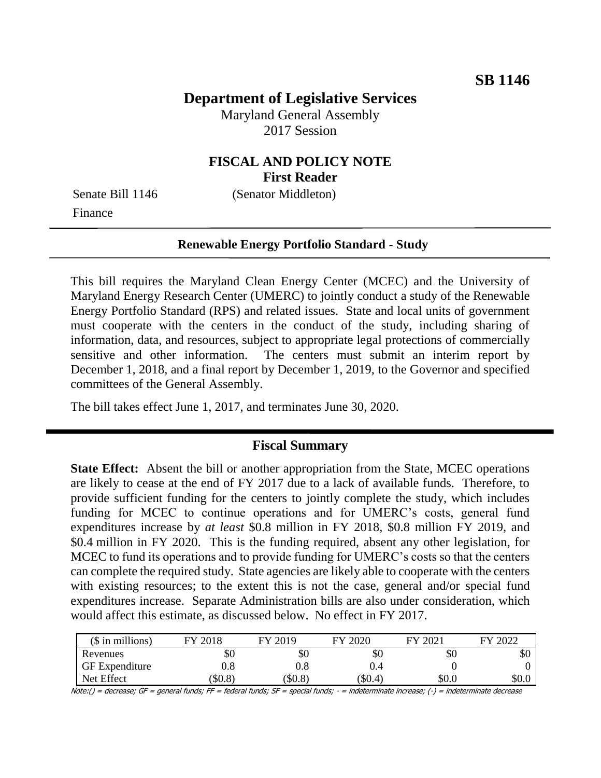# **Department of Legislative Services**

Maryland General Assembly 2017 Session

## **FISCAL AND POLICY NOTE First Reader**

Finance

Senate Bill 1146 (Senator Middleton)

#### **Renewable Energy Portfolio Standard - Study**

This bill requires the Maryland Clean Energy Center (MCEC) and the University of Maryland Energy Research Center (UMERC) to jointly conduct a study of the Renewable Energy Portfolio Standard (RPS) and related issues. State and local units of government must cooperate with the centers in the conduct of the study, including sharing of information, data, and resources, subject to appropriate legal protections of commercially sensitive and other information. The centers must submit an interim report by December 1, 2018, and a final report by December 1, 2019, to the Governor and specified committees of the General Assembly.

The bill takes effect June 1, 2017, and terminates June 30, 2020.

### **Fiscal Summary**

**State Effect:** Absent the bill or another appropriation from the State, MCEC operations are likely to cease at the end of FY 2017 due to a lack of available funds. Therefore, to provide sufficient funding for the centers to jointly complete the study, which includes funding for MCEC to continue operations and for UMERC's costs, general fund expenditures increase by *at least* \$0.8 million in FY 2018, \$0.8 million FY 2019, and \$0.4 million in FY 2020. This is the funding required, absent any other legislation, for MCEC to fund its operations and to provide funding for UMERC's costs so that the centers can complete the required study. State agencies are likely able to cooperate with the centers with existing resources; to the extent this is not the case, general and/or special fund expenditures increase. Separate Administration bills are also under consideration, which would affect this estimate, as discussed below. No effect in FY 2017.

| $($$ in millions)     | 2018    | 2019    | 2020<br>FV | 2021<br>ГV | 2022<br>FМ |
|-----------------------|---------|---------|------------|------------|------------|
| Revenues              | \$0     | \$0     | \$0        | \$0        | эU         |
| <b>GF</b> Expenditure | $0.8\,$ | $0.8\,$ | J.4        |            |            |
| Net Effect            | \$0.8   | \$0.8   | $(\$0.4)$  | \$0.0      | \$0.0      |

Note:() = decrease; GF = general funds; FF = federal funds; SF = special funds; - = indeterminate increase; (-) = indeterminate decrease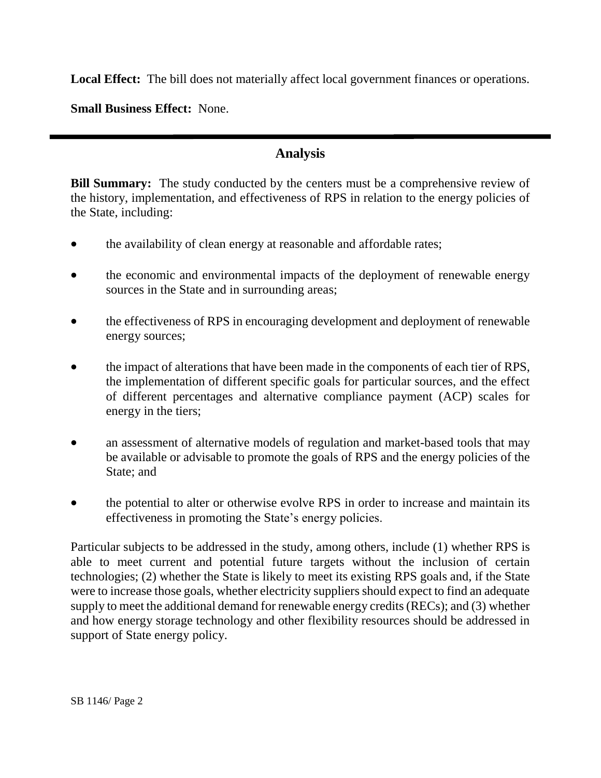**Local Effect:** The bill does not materially affect local government finances or operations.

**Small Business Effect:** None.

# **Analysis**

**Bill Summary:** The study conducted by the centers must be a comprehensive review of the history, implementation, and effectiveness of RPS in relation to the energy policies of the State, including:

- the availability of clean energy at reasonable and affordable rates;
- the economic and environmental impacts of the deployment of renewable energy sources in the State and in surrounding areas;
- the effectiveness of RPS in encouraging development and deployment of renewable energy sources;
- the impact of alterations that have been made in the components of each tier of RPS, the implementation of different specific goals for particular sources, and the effect of different percentages and alternative compliance payment (ACP) scales for energy in the tiers;
- an assessment of alternative models of regulation and market-based tools that may be available or advisable to promote the goals of RPS and the energy policies of the State; and
- the potential to alter or otherwise evolve RPS in order to increase and maintain its effectiveness in promoting the State's energy policies.

Particular subjects to be addressed in the study, among others, include (1) whether RPS is able to meet current and potential future targets without the inclusion of certain technologies; (2) whether the State is likely to meet its existing RPS goals and, if the State were to increase those goals, whether electricity suppliers should expect to find an adequate supply to meet the additional demand for renewable energy credits (RECs); and (3) whether and how energy storage technology and other flexibility resources should be addressed in support of State energy policy.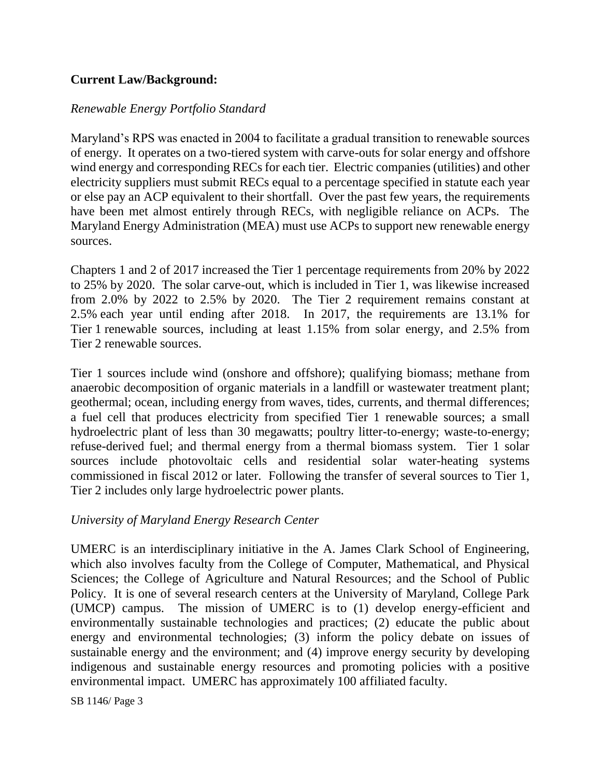# **Current Law/Background:**

### *Renewable Energy Portfolio Standard*

Maryland's RPS was enacted in 2004 to facilitate a gradual transition to renewable sources of energy. It operates on a two-tiered system with carve-outs for solar energy and offshore wind energy and corresponding RECs for each tier. Electric companies (utilities) and other electricity suppliers must submit RECs equal to a percentage specified in statute each year or else pay an ACP equivalent to their shortfall. Over the past few years, the requirements have been met almost entirely through RECs, with negligible reliance on ACPs. The Maryland Energy Administration (MEA) must use ACPs to support new renewable energy sources.

Chapters 1 and 2 of 2017 increased the Tier 1 percentage requirements from 20% by 2022 to 25% by 2020. The solar carve-out, which is included in Tier 1, was likewise increased from 2.0% by 2022 to 2.5% by 2020. The Tier 2 requirement remains constant at 2.5% each year until ending after 2018. In 2017, the requirements are 13.1% for Tier 1 renewable sources, including at least 1.15% from solar energy, and 2.5% from Tier 2 renewable sources.

Tier 1 sources include wind (onshore and offshore); qualifying biomass; methane from anaerobic decomposition of organic materials in a landfill or wastewater treatment plant; geothermal; ocean, including energy from waves, tides, currents, and thermal differences; a fuel cell that produces electricity from specified Tier 1 renewable sources; a small hydroelectric plant of less than 30 megawatts; poultry litter-to-energy; waste-to-energy; refuse-derived fuel; and thermal energy from a thermal biomass system. Tier 1 solar sources include photovoltaic cells and residential solar water-heating systems commissioned in fiscal 2012 or later. Following the transfer of several sources to Tier 1, Tier 2 includes only large hydroelectric power plants.

### *University of Maryland Energy Research Center*

UMERC is an interdisciplinary initiative in the A. James Clark School of Engineering, which also involves faculty from the College of Computer, Mathematical, and Physical Sciences; the College of Agriculture and Natural Resources; and the School of Public Policy. It is one of several research centers at the University of Maryland, College Park (UMCP) campus. The mission of UMERC is to (1) develop energy-efficient and environmentally sustainable technologies and practices; (2) educate the public about energy and environmental technologies; (3) inform the policy debate on issues of sustainable energy and the environment; and (4) improve energy security by developing indigenous and sustainable energy resources and promoting policies with a positive environmental impact. UMERC has approximately 100 affiliated faculty.

SB 1146/ Page 3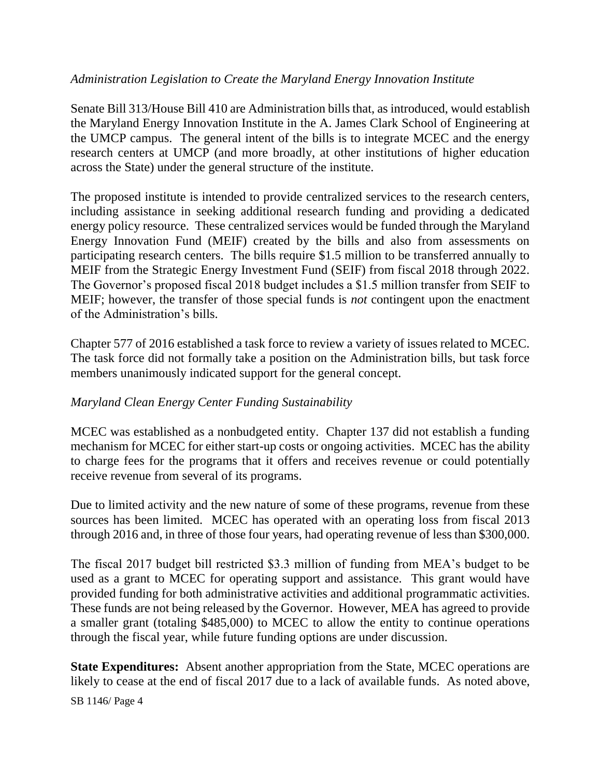### *Administration Legislation to Create the Maryland Energy Innovation Institute*

Senate Bill 313/House Bill 410 are Administration bills that, as introduced, would establish the Maryland Energy Innovation Institute in the A. James Clark School of Engineering at the UMCP campus. The general intent of the bills is to integrate MCEC and the energy research centers at UMCP (and more broadly, at other institutions of higher education across the State) under the general structure of the institute.

The proposed institute is intended to provide centralized services to the research centers, including assistance in seeking additional research funding and providing a dedicated energy policy resource. These centralized services would be funded through the Maryland Energy Innovation Fund (MEIF) created by the bills and also from assessments on participating research centers. The bills require \$1.5 million to be transferred annually to MEIF from the Strategic Energy Investment Fund (SEIF) from fiscal 2018 through 2022. The Governor's proposed fiscal 2018 budget includes a \$1.5 million transfer from SEIF to MEIF; however, the transfer of those special funds is *not* contingent upon the enactment of the Administration's bills.

Chapter 577 of 2016 established a task force to review a variety of issues related to MCEC. The task force did not formally take a position on the Administration bills, but task force members unanimously indicated support for the general concept.

### *Maryland Clean Energy Center Funding Sustainability*

MCEC was established as a nonbudgeted entity. Chapter 137 did not establish a funding mechanism for MCEC for either start-up costs or ongoing activities. MCEC has the ability to charge fees for the programs that it offers and receives revenue or could potentially receive revenue from several of its programs.

Due to limited activity and the new nature of some of these programs, revenue from these sources has been limited. MCEC has operated with an operating loss from fiscal 2013 through 2016 and, in three of those four years, had operating revenue of less than \$300,000.

The fiscal 2017 budget bill restricted \$3.3 million of funding from MEA's budget to be used as a grant to MCEC for operating support and assistance. This grant would have provided funding for both administrative activities and additional programmatic activities. These funds are not being released by the Governor. However, MEA has agreed to provide a smaller grant (totaling \$485,000) to MCEC to allow the entity to continue operations through the fiscal year, while future funding options are under discussion.

**State Expenditures:** Absent another appropriation from the State, MCEC operations are likely to cease at the end of fiscal 2017 due to a lack of available funds. As noted above,

SB 1146/ Page 4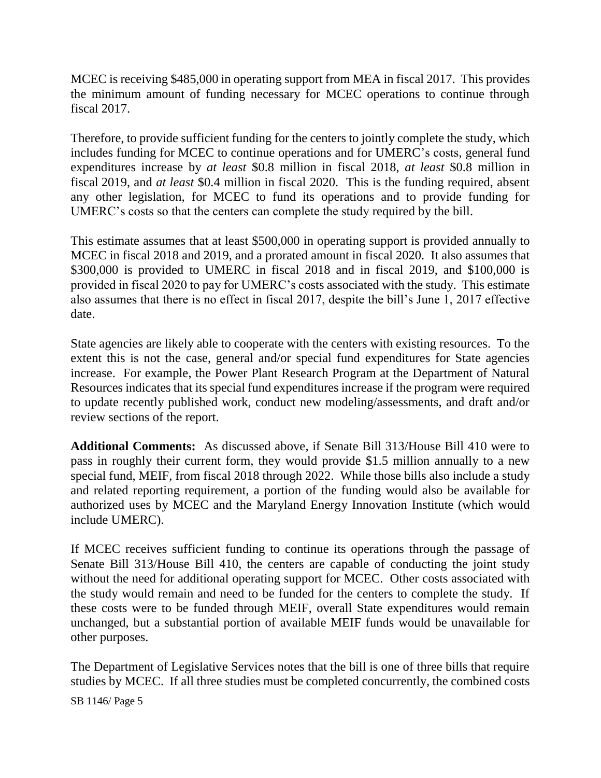MCEC is receiving \$485,000 in operating support from MEA in fiscal 2017. This provides the minimum amount of funding necessary for MCEC operations to continue through fiscal 2017.

Therefore, to provide sufficient funding for the centers to jointly complete the study, which includes funding for MCEC to continue operations and for UMERC's costs, general fund expenditures increase by *at least* \$0.8 million in fiscal 2018, *at least* \$0.8 million in fiscal 2019, and *at least* \$0.4 million in fiscal 2020. This is the funding required, absent any other legislation, for MCEC to fund its operations and to provide funding for UMERC's costs so that the centers can complete the study required by the bill.

This estimate assumes that at least \$500,000 in operating support is provided annually to MCEC in fiscal 2018 and 2019, and a prorated amount in fiscal 2020. It also assumes that \$300,000 is provided to UMERC in fiscal 2018 and in fiscal 2019, and \$100,000 is provided in fiscal 2020 to pay for UMERC's costs associated with the study. This estimate also assumes that there is no effect in fiscal 2017, despite the bill's June 1, 2017 effective date.

State agencies are likely able to cooperate with the centers with existing resources. To the extent this is not the case, general and/or special fund expenditures for State agencies increase. For example, the Power Plant Research Program at the Department of Natural Resources indicates that its special fund expenditures increase if the program were required to update recently published work, conduct new modeling/assessments, and draft and/or review sections of the report.

**Additional Comments:** As discussed above, if Senate Bill 313/House Bill 410 were to pass in roughly their current form, they would provide \$1.5 million annually to a new special fund, MEIF, from fiscal 2018 through 2022. While those bills also include a study and related reporting requirement, a portion of the funding would also be available for authorized uses by MCEC and the Maryland Energy Innovation Institute (which would include UMERC).

If MCEC receives sufficient funding to continue its operations through the passage of Senate Bill 313/House Bill 410, the centers are capable of conducting the joint study without the need for additional operating support for MCEC. Other costs associated with the study would remain and need to be funded for the centers to complete the study. If these costs were to be funded through MEIF, overall State expenditures would remain unchanged, but a substantial portion of available MEIF funds would be unavailable for other purposes.

The Department of Legislative Services notes that the bill is one of three bills that require studies by MCEC. If all three studies must be completed concurrently, the combined costs

SB 1146/ Page 5